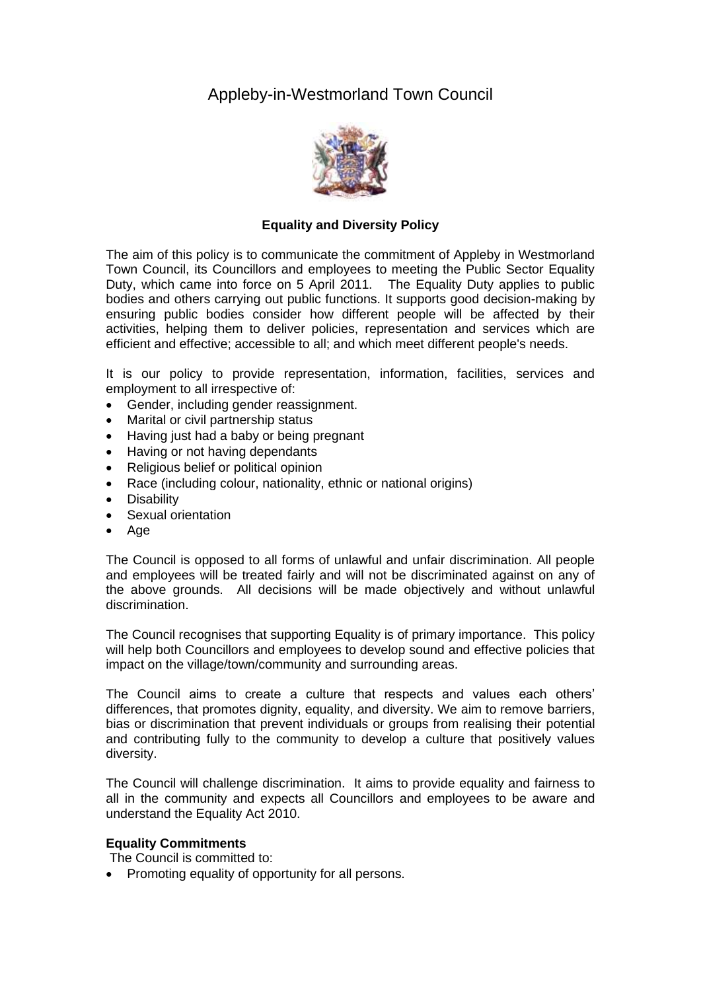# Appleby-in-Westmorland Town Council



### **Equality and Diversity Policy**

The aim of this policy is to communicate the commitment of Appleby in Westmorland Town Council, its Councillors and employees to meeting the Public Sector Equality Duty, which came into force on 5 April 2011. The Equality Duty applies to public bodies and others carrying out public functions. It supports good decision-making by ensuring public bodies consider how different people will be affected by their activities, helping them to deliver policies, representation and services which are efficient and effective; accessible to all; and which meet different people's needs.

It is our policy to provide representation, information, facilities, services and employment to all irrespective of:

- Gender, including gender reassignment.
- Marital or civil partnership status
- Having just had a baby or being pregnant
- Having or not having dependants
- Religious belief or political opinion
- Race (including colour, nationality, ethnic or national origins)
- Disability
- Sexual orientation
- Age

The Council is opposed to all forms of unlawful and unfair discrimination. All people and employees will be treated fairly and will not be discriminated against on any of the above grounds. All decisions will be made objectively and without unlawful discrimination.

The Council recognises that supporting Equality is of primary importance. This policy will help both Councillors and employees to develop sound and effective policies that impact on the village/town/community and surrounding areas.

The Council aims to create a culture that respects and values each others' differences, that promotes dignity, equality, and diversity. We aim to remove barriers, bias or discrimination that prevent individuals or groups from realising their potential and contributing fully to the community to develop a culture that positively values diversity.

The Council will challenge discrimination. It aims to provide equality and fairness to all in the community and expects all Councillors and employees to be aware and understand the Equality Act 2010.

#### **Equality Commitments**

The Council is committed to:

• Promoting equality of opportunity for all persons.